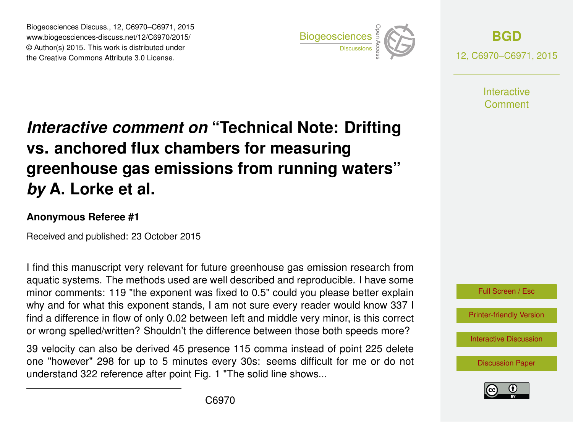Biogeosciences Discuss., 12, C6970–C6971, 2015 www.biogeosciences-discuss.net/12/C6970/2015/ © Author(s) 2015. This work is distributed under Biogeosciences Discuss., 12, C6970–C6971, 2015<br>
www.biogeosciences-discuss.net/12/C6970/2015/<br>
© Author(s) 2015. This work is distributed under<br>
the Creative Commons Attribute 3.0 License.



**[BGD](http://www.biogeosciences-discuss.net)** 12, C6970–C6971, 2015

> **Interactive** Comment

## *Interactive comment on* **"Technical Note: Drifting vs. anchored flux chambers for measuring greenhouse gas emissions from running waters"** *by* **A. Lorke et al.**

## **Anonymous Referee #1**

Received and published: 23 October 2015

I find this manuscript very relevant for future greenhouse gas emission research from aquatic systems. The methods used are well described and reproducible. I have some minor comments: 119 "the exponent was fixed to 0.5" could you please better explain why and for what this exponent stands, I am not sure every reader would know 337 I find a difference in flow of only 0.02 between left and middle very minor, is this correct or wrong spelled/written? Shouldn't the difference between those both speeds more?

39 velocity can also be derived 45 presence 115 comma instead of point 225 delete one "however" 298 for up to 5 minutes every 30s: seems difficult for me or do not understand 322 reference after point Fig. 1 "The solid line shows...